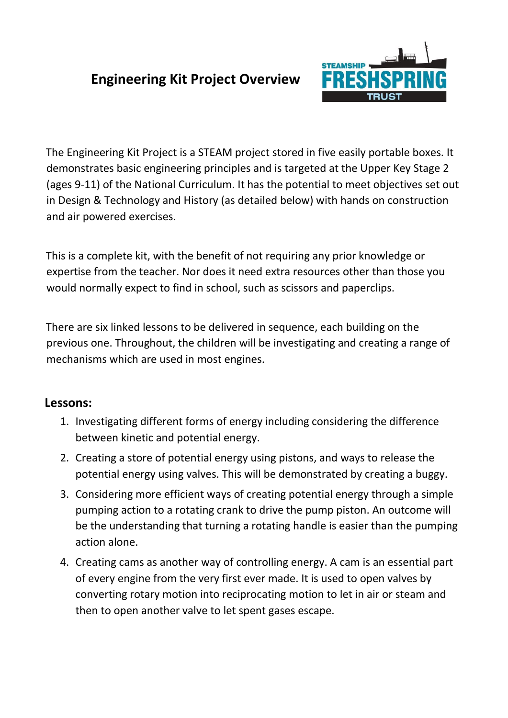# **Engineering Kit Project Overview**



The Engineering Kit Project is a STEAM project stored in five easily portable boxes. It demonstrates basic engineering principles and is targeted at the Upper Key Stage 2 (ages 9-11) of the National Curriculum. It has the potential to meet objectives set out in Design & Technology and History (as detailed below) with hands on construction and air powered exercises.

This is a complete kit, with the benefit of not requiring any prior knowledge or expertise from the teacher. Nor does it need extra resources other than those you would normally expect to find in school, such as scissors and paperclips.

There are six linked lessons to be delivered in sequence, each building on the previous one. Throughout, the children will be investigating and creating a range of mechanisms which are used in most engines.

#### **Lessons:**

- 1. Investigating different forms of energy including considering the difference between kinetic and potential energy.
- 2. Creating a store of potential energy using pistons, and ways to release the potential energy using valves. This will be demonstrated by creating a buggy.
- 3. Considering more efficient ways of creating potential energy through a simple pumping action to a rotating crank to drive the pump piston. An outcome will be the understanding that turning a rotating handle is easier than the pumping action alone.
- 4. Creating cams as another way of controlling energy. A cam is an essential part of every engine from the very first ever made. It is used to open valves by converting rotary motion into reciprocating motion to let in air or steam and then to open another valve to let spent gases escape.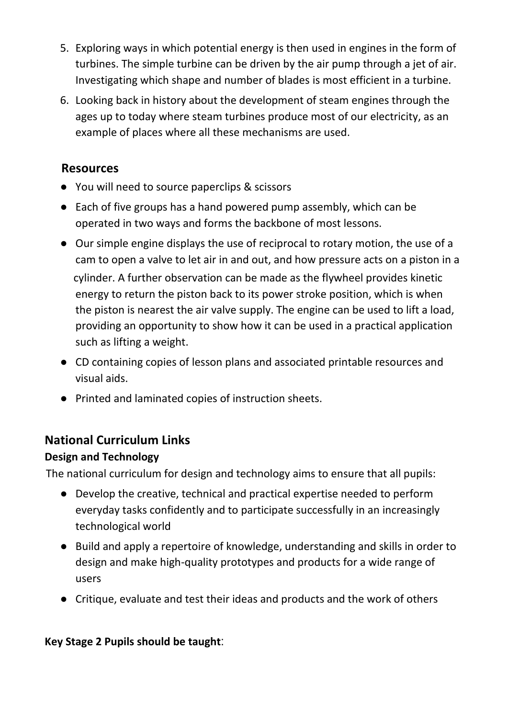- 5. Exploring ways in which potential energy is then used in engines in the form of turbines. The simple turbine can be driven by the air pump through a jet of air. Investigating which shape and number of blades is most efficient in a turbine.
- 6. Looking back in history about the development of steam engines through the ages up to today where steam turbines produce most of our electricity, as an example of places where all these mechanisms are used.

## **Resources**

- You will need to source paperclips & scissors
- Each of five groups has a hand powered pump assembly, which can be operated in two ways and forms the backbone of most lessons.
- Our simple engine displays the use of reciprocal to rotary motion, the use of a cam to open a valve to let air in and out, and how pressure acts on a piston in a cylinder. A further observation can be made as the flywheel provides kinetic energy to return the piston back to its power stroke position, which is when the piston is nearest the air valve supply. The engine can be used to lift a load, providing an opportunity to show how it can be used in a practical application such as lifting a weight.
- CD containing copies of lesson plans and associated printable resources and visual aids.
- Printed and laminated copies of instruction sheets.

## **National Curriculum Links**

#### **Design and Technology**

The national curriculum for design and technology aims to ensure that all pupils:

- Develop the creative, technical and practical expertise needed to perform everyday tasks confidently and to participate successfully in an increasingly technological world
- Build and apply a repertoire of knowledge, understanding and skills in order to design and make high-quality prototypes and products for a wide range of users
- Critique, evaluate and test their ideas and products and the work of others

#### **Key Stage 2 Pupils should be taught**: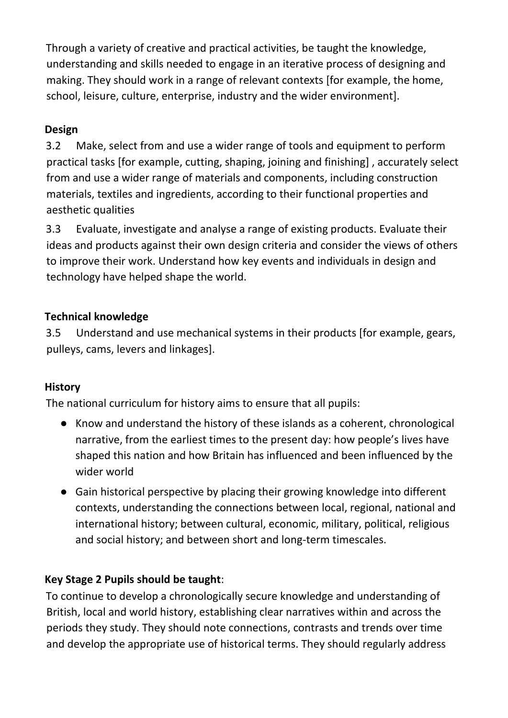Through a variety of creative and practical activities, be taught the knowledge, understanding and skills needed to engage in an iterative process of designing and making. They should work in a range of relevant contexts [for example, the home, school, leisure, culture, enterprise, industry and the wider environment].

## **Design**

3.2 Make, select from and use a wider range of tools and equipment to perform practical tasks [for example, cutting, shaping, joining and finishing] , accurately select from and use a wider range of materials and components, including construction materials, textiles and ingredients, according to their functional properties and aesthetic qualities

3.3 Evaluate, investigate and analyse a range of existing products. Evaluate their ideas and products against their own design criteria and consider the views of others to improve their work. Understand how key events and individuals in design and technology have helped shape the world.

### **Technical knowledge**

3.5 Understand and use mechanical systems in their products [for example, gears, pulleys, cams, levers and linkages].

## **History**

The national curriculum for history aims to ensure that all pupils:

- Know and understand the history of these islands as a coherent, chronological narrative, from the earliest times to the present day: how people's lives have shaped this nation and how Britain has influenced and been influenced by the wider world
- Gain historical perspective by placing their growing knowledge into different contexts, understanding the connections between local, regional, national and international history; between cultural, economic, military, political, religious and social history; and between short and long-term timescales.

## **Key Stage 2 Pupils should be taught**:

To continue to develop a chronologically secure knowledge and understanding of British, local and world history, establishing clear narratives within and across the periods they study. They should note connections, contrasts and trends over time and develop the appropriate use of historical terms. They should regularly address